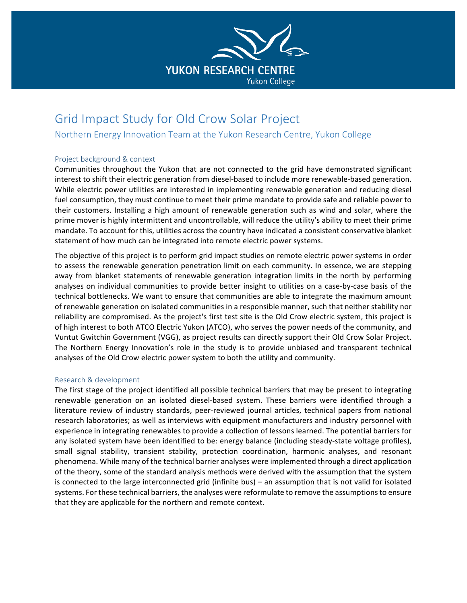

# Grid Impact Study for Old Crow Solar Project

Northern Energy Innovation Team at the Yukon Research Centre, Yukon College

# Project background & context

Communities throughout the Yukon that are not connected to the grid have demonstrated significant interest to shift their electric generation from diesel-based to include more renewable-based generation. While electric power utilities are interested in implementing renewable generation and reducing diesel fuel consumption, they must continue to meet their prime mandate to provide safe and reliable power to their customers. Installing a high amount of renewable generation such as wind and solar, where the prime mover is highly intermittent and uncontrollable, will reduce the utility's ability to meet their prime mandate. To account for this, utilities across the country have indicated a consistent conservative blanket statement of how much can be integrated into remote electric power systems.

The objective of this project is to perform grid impact studies on remote electric power systems in order to assess the renewable generation penetration limit on each community. In essence, we are stepping away from blanket statements of renewable generation integration limits in the north by performing analyses on individual communities to provide better insight to utilities on a case-by-case basis of the technical bottlenecks. We want to ensure that communities are able to integrate the maximum amount of renewable generation on isolated communities in a responsible manner, such that neither stability nor reliability are compromised. As the project's first test site is the Old Crow electric system, this project is of high interest to both ATCO Electric Yukon (ATCO), who serves the power needs of the community, and Vuntut Gwitchin Government (VGG), as project results can directly support their Old Crow Solar Project. The Northern Energy Innovation's role in the study is to provide unbiased and transparent technical analyses of the Old Crow electric power system to both the utility and community.

### Research & development

The first stage of the project identified all possible technical barriers that may be present to integrating renewable generation on an isolated diesel-based system. These barriers were identified through a literature review of industry standards, peer-reviewed journal articles, technical papers from national research laboratories; as well as interviews with equipment manufacturers and industry personnel with experience in integrating renewables to provide a collection of lessons learned. The potential barriers for any isolated system have been identified to be: energy balance (including steady-state voltage profiles), small signal stability, transient stability, protection coordination, harmonic analyses, and resonant phenomena. While many of the technical barrier analyses were implemented through a direct application of the theory, some of the standard analysis methods were derived with the assumption that the system is connected to the large interconnected grid (infinite bus) – an assumption that is not valid for isolated systems. For these technical barriers, the analyses were reformulate to remove the assumptions to ensure that they are applicable for the northern and remote context.